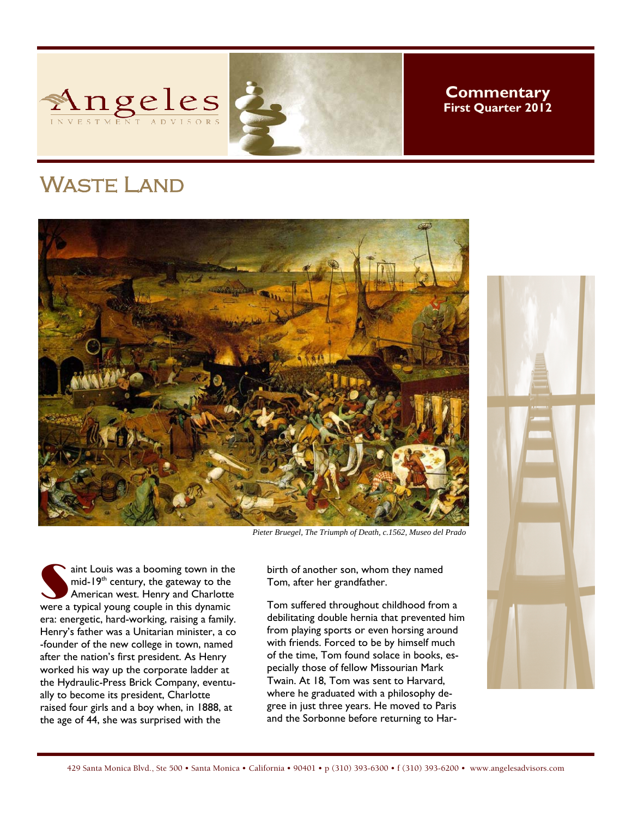

**Commentary First Quarter 2012** 

## Waste Land



*Pieter Bruegel, The Triumph of Death, c.1562, Museo del Prado* 

aint Louis was a booming town in the<br>
mid-19<sup>th</sup> century, the gateway to the<br>
American west. Henry and Charlotte<br>
Were a typical young couple in this dynamic mid-19<sup>th</sup> century, the gateway to the were a typical young couple in this dynamic era: energetic, hard-working, raising a family. Henry's father was a Unitarian minister, a co -founder of the new college in town, named after the nation's first president. As Henry worked his way up the corporate ladder at the Hydraulic-Press Brick Company, eventually to become its president, Charlotte raised four girls and a boy when, in 1888, at the age of 44, she was surprised with the

birth of another son, whom they named Tom, after her grandfather.

Tom suffered throughout childhood from a debilitating double hernia that prevented him from playing sports or even horsing around with friends. Forced to be by himself much of the time, Tom found solace in books, especially those of fellow Missourian Mark Twain. At 18, Tom was sent to Harvard, where he graduated with a philosophy degree in just three years. He moved to Paris and the Sorbonne before returning to Har-

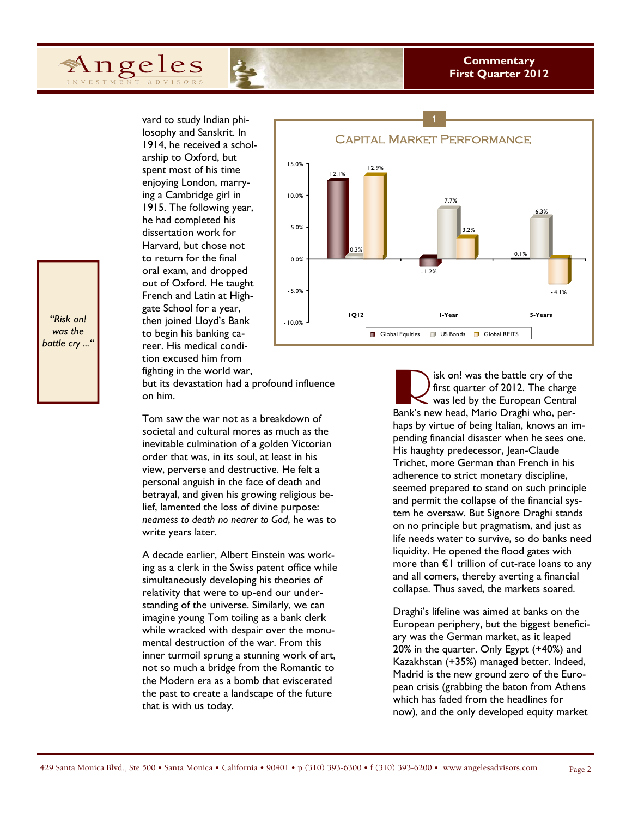## **Commentary First Quarter 2012**

vard to study Indian philosophy and Sanskrit. In 1914, he received a scholarship to Oxford, but spent most of his time enjoying London, marrying a Cambridge girl in 1915. The following year, he had completed his dissertation work for Harvard, but chose not to return for the final oral exam, and dropped out of Oxford. He taught French and Latin at Highgate School for a year, then joined Lloyd's Bank to begin his banking career. His medical condition excused him from fighting in the world war,

Angeles

but its devastation had a profound influence on him.

Tom saw the war not as a breakdown of societal and cultural mores as much as the inevitable culmination of a golden Victorian order that was, in its soul, at least in his view, perverse and destructive. He felt a personal anguish in the face of death and betrayal, and given his growing religious belief, lamented the loss of divine purpose: *nearness to death no nearer to God*, he was to write years later.

A decade earlier, Albert Einstein was working as a clerk in the Swiss patent office while simultaneously developing his theories of relativity that were to up-end our understanding of the universe. Similarly, we can imagine young Tom toiling as a bank clerk while wracked with despair over the monumental destruction of the war. From this inner turmoil sprung a stunning work of art, not so much a bridge from the Romantic to the Modern era as a bomb that eviscerated the past to create a landscape of the future that is with us today.



isk on! was the battle cry of the first quarter of 2012. The charge was led by the European Central Bank's new head, Mario Draghi who, perhaps by virtue of being Italian, knows an impending financial disaster when he sees one. His haughty predecessor, Jean-Claude Trichet, more German than French in his adherence to strict monetary discipline, seemed prepared to stand on such principle and permit the collapse of the financial system he oversaw. But Signore Draghi stands on no principle but pragmatism, and just as life needs water to survive, so do banks need liquidity. He opened the flood gates with more than  $E1$  trillion of cut-rate loans to any and all comers, thereby averting a financial collapse. Thus saved, the markets soared.

Draghi's lifeline was aimed at banks on the European periphery, but the biggest beneficiary was the German market, as it leaped 20% in the quarter. Only Egypt (+40%) and Kazakhstan (+35%) managed better. Indeed, Madrid is the new ground zero of the European crisis (grabbing the baton from Athens which has faded from the headlines for now), and the only developed equity market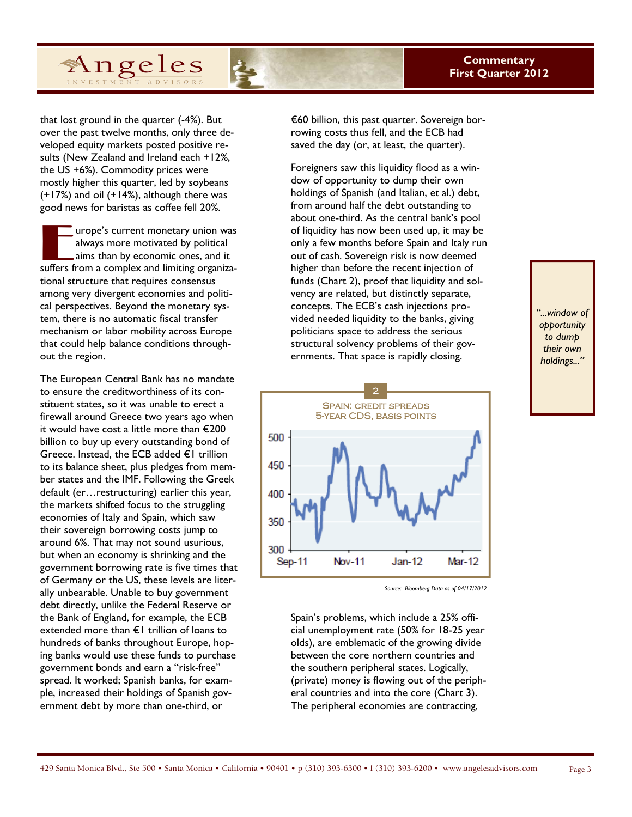

that lost ground in the quarter (-4%). But over the past twelve months, only three developed equity markets posted positive results (New Zealand and Ireland each +12%, the US +6%). Commodity prices were mostly higher this quarter, led by soybeans (+17%) and oil (+14%), although there was good news for baristas as coffee fell 20%.

The urope's current monetary union was<br>always more motivated by political<br>aims than by economic ones, and it<br>suffers from a complex and limiting organizaalways more motivated by political aims than by economic ones, and it suffers from a complex and limiting organizational structure that requires consensus among very divergent economies and political perspectives. Beyond the monetary system, there is no automatic fiscal transfer mechanism or labor mobility across Europe that could help balance conditions throughout the region.

The European Central Bank has no mandate to ensure the creditworthiness of its constituent states, so it was unable to erect a firewall around Greece two years ago when it would have cost a little more than €200 billion to buy up every outstanding bond of Greece. Instead, the ECB added €1 trillion to its balance sheet, plus pledges from member states and the IMF. Following the Greek default (er…restructuring) earlier this year, the markets shifted focus to the struggling economies of Italy and Spain, which saw their sovereign borrowing costs jump to around 6%. That may not sound usurious, but when an economy is shrinking and the government borrowing rate is five times that of Germany or the US, these levels are literally unbearable. Unable to buy government debt directly, unlike the Federal Reserve or the Bank of England, for example, the ECB extended more than €1 trillion of loans to hundreds of banks throughout Europe, hoping banks would use these funds to purchase government bonds and earn a "risk-free" spread. It worked; Spanish banks, for example, increased their holdings of Spanish government debt by more than one-third, or

€60 billion, this past quarter. Sovereign borrowing costs thus fell, and the ECB had saved the day (or, at least, the quarter).

Foreigners saw this liquidity flood as a window of opportunity to dump their own holdings of Spanish (and Italian, et al.) debt, from around half the debt outstanding to about one-third. As the central bank's pool of liquidity has now been used up, it may be only a few months before Spain and Italy run out of cash. Sovereign risk is now deemed higher than before the recent injection of funds (Chart 2), proof that liquidity and solvency are related, but distinctly separate, concepts. The ECB's cash injections provided needed liquidity to the banks, giving politicians space to address the serious structural solvency problems of their governments. That space is rapidly closing.



*Source: Bloomberg Data as of 04/17/2012* 

Spain's problems, which include a 25% official unemployment rate (50% for 18-25 year olds), are emblematic of the growing divide between the core northern countries and the southern peripheral states. Logically, (private) money is flowing out of the peripheral countries and into the core (Chart 3). The peripheral economies are contracting,

*"...window of opportunity to dump their own holdings..."*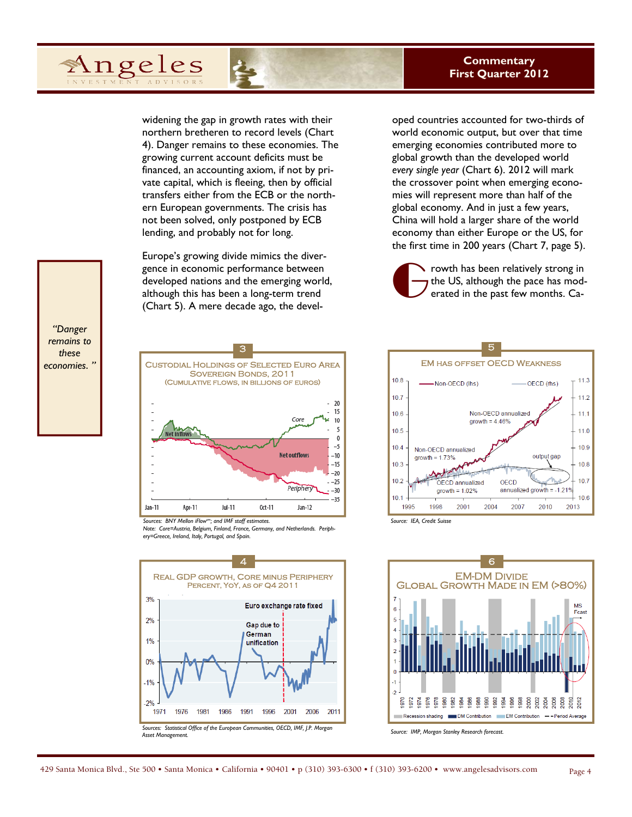

widening the gap in growth rates with their northern bretheren to record levels (Chart 4). Danger remains to these economies. The growing current account deficits must be financed, an accounting axiom, if not by private capital, which is fleeing, then by official transfers either from the ECB or the northern European governments. The crisis has not been solved, only postponed by ECB lending, and probably not for long.

Europe's growing divide mimics the divergence in economic performance between developed nations and the emerging world, although this has been a long-term trend (Chart 5). A mere decade ago, the developed countries accounted for two-thirds of world economic output, but over that time emerging economies contributed more to global growth than the developed world *every single year* (Chart 6). 2012 will mark the crossover point when emerging economies will represent more than half of the global economy. And in just a few years, China will hold a larger share of the world economy than either Europe or the US, for the first time in 200 years (Chart 7, page 5).

From the US, although the pace has moderated in the past few months. Cathe US, although the pace has moderated in the past few months. Ca-





*Note: Core=Austria, Belgium, Finland, France, Germany, and Netherlands. Periphery=Greece, Ireland, Italy, Portugal, and Spain.* 







*Source: IEA, Credit Suisse*



*Source: IMP, Morgan Stanley Research forecast.*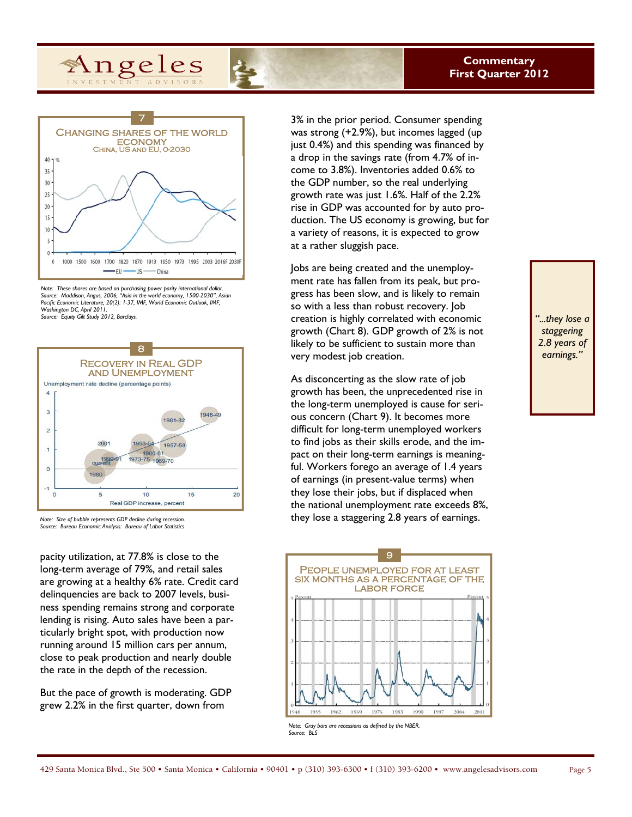

Angeles

*Note: These shares are based on purchasing power parity international dollar. Source: Maddison, Angus, 2006, "Asia in the world economy, 1500-2030", Asian Pacific Economic Literature, 20(2): 1-37, IMF, World Economic Outlook, IMF, Washington DC, April 2011. Source: Equity Gilt Study 2012, Barclays.* 



*Note: Size of bubble represents GDP decline during recession. Source: Bureau Economic Analysis: Bureau of Labor Statistics* 

pacity utilization, at 77.8% is close to the long-term average of 79%, and retail sales are growing at a healthy 6% rate. Credit card delinquencies are back to 2007 levels, business spending remains strong and corporate lending is rising. Auto sales have been a particularly bright spot, with production now running around 15 million cars per annum, close to peak production and nearly double the rate in the depth of the recession.

But the pace of growth is moderating. GDP grew 2.2% in the first quarter, down from

3% in the prior period. Consumer spending was strong (+2.9%), but incomes lagged (up just 0.4%) and this spending was financed by a drop in the savings rate (from 4.7% of income to 3.8%). Inventories added 0.6% to the GDP number, so the real underlying growth rate was just 1.6%. Half of the 2.2% rise in GDP was accounted for by auto production. The US economy is growing, but for a variety of reasons, it is expected to grow at a rather sluggish pace.

Jobs are being created and the unemployment rate has fallen from its peak, but progress has been slow, and is likely to remain so with a less than robust recovery. Job creation is highly correlated with economic growth (Chart 8). GDP growth of 2% is not likely to be sufficient to sustain more than very modest job creation.

As disconcerting as the slow rate of job growth has been, the unprecedented rise in the long-term unemployed is cause for serious concern (Chart 9). It becomes more difficult for long-term unemployed workers to find jobs as their skills erode, and the impact on their long-term earnings is meaningful. Workers forego an average of 1.4 years of earnings (in present-value terms) when they lose their jobs, but if displaced when the national unemployment rate exceeds 8%, they lose a staggering 2.8 years of earnings.



*Note: Gray bars are recessions as defined by the NBER. Source: BLS* 

*"...they lose a staggering 2.8 years of earnings."*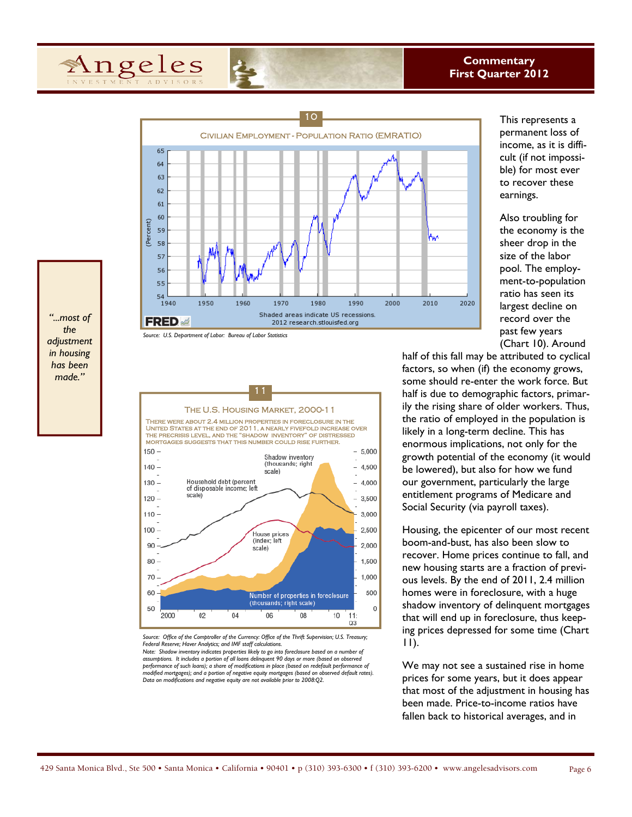



This represents a permanent loss of income, as it is difficult (if not impossible) for most ever to recover these earnings.

Also troubling for the economy is the sheer drop in the size of the labor pool. The employment-to-population ratio has seen its largest decline on record over the past few years (Chart 10). Around

half of this fall may be attributed to cyclical factors, so when (if) the economy grows, some should re-enter the work force. But half is due to demographic factors, primarily the rising share of older workers. Thus, the ratio of employed in the population is likely in a long-term decline. This has enormous implications, not only for the growth potential of the economy (it would be lowered), but also for how we fund our government, particularly the large entitlement programs of Medicare and Social Security (via payroll taxes).

Housing, the epicenter of our most recent boom-and-bust, has also been slow to recover. Home prices continue to fall, and new housing starts are a fraction of previous levels. By the end of 2011, 2.4 million homes were in foreclosure, with a huge shadow inventory of delinquent mortgages that will end up in foreclosure, thus keeping prices depressed for some time (Chart 11).

We may not see a sustained rise in home prices for some years, but it does appear that most of the adjustment in housing has been made. Price-to-income ratios have fallen back to historical averages, and in

*"...most of the adjustment in housing has been made."* 





*Source: Office of the Comptroller of the Currency: Office of the Thrift Supervision; U.S. Treasury; Federal Reserve; Haver Analytics; and IMF staff calculations. Note: Shadow inventory indicates properties likely to go into foreclosure based on a number of*  assumptions. It includes a portion of all loans delinquent 90 days or more (based on observed performance of such loans); a share of modifications in place (based on redefault performance of *modified mortgages); and a portion of negative equity mortgages (based on observed default rates). Data on modifications and negative equity are not available prior to 2008:Q2.*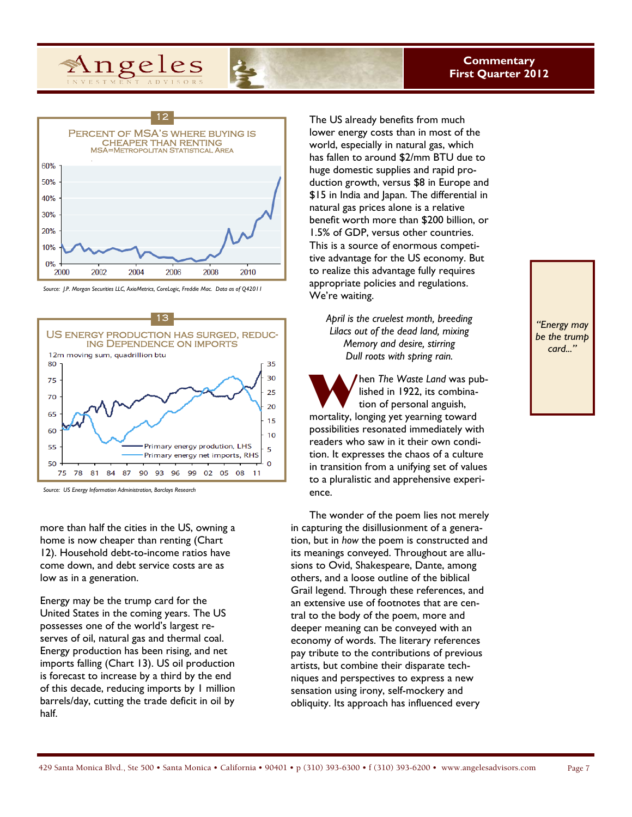



*Source: J.P. Morgan Securities LLC, AxioMetrics, CoreLogic, Freddie Mac. Data as of Q42011* 



*Source: US Energy Information Administration, Barclays Research* 

more than half the cities in the US, owning a home is now cheaper than renting (Chart 12). Household debt-to-income ratios have come down, and debt service costs are as low as in a generation.

Energy may be the trump card for the United States in the coming years. The US possesses one of the world's largest reserves of oil, natural gas and thermal coal. Energy production has been rising, and net imports falling (Chart 13). US oil production is forecast to increase by a third by the end of this decade, reducing imports by 1 million barrels/day, cutting the trade deficit in oil by half.

The US already benefits from much lower energy costs than in most of the world, especially in natural gas, which has fallen to around \$2/mm BTU due to huge domestic supplies and rapid production growth, versus \$8 in Europe and \$15 in India and Japan. The differential in natural gas prices alone is a relative benefit worth more than \$200 billion, or 1.5% of GDP, versus other countries. This is a source of enormous competitive advantage for the US economy. But to realize this advantage fully requires appropriate policies and regulations. We're waiting.

*April is the cruelest month, breeding Lilacs out of the dead land, mixing Memory and desire, stirring Dull roots with spring rain.* 

W hen *The Waste Land* was published in 1922, its combination of personal anguish, mortality, longing yet yearning toward possibilities resonated immediately with readers who saw in it their own condition. It expresses the chaos of a culture in transition from a unifying set of values to a pluralistic and apprehensive experience.

The wonder of the poem lies not merely in capturing the disillusionment of a generation, but in *how* the poem is constructed and its meanings conveyed. Throughout are allusions to Ovid, Shakespeare, Dante, among others, and a loose outline of the biblical Grail legend. Through these references, and an extensive use of footnotes that are central to the body of the poem, more and deeper meaning can be conveyed with an economy of words. The literary references pay tribute to the contributions of previous artists, but combine their disparate techniques and perspectives to express a new sensation using irony, self-mockery and obliquity. Its approach has influenced every

*"Energy may be the trump card..."*